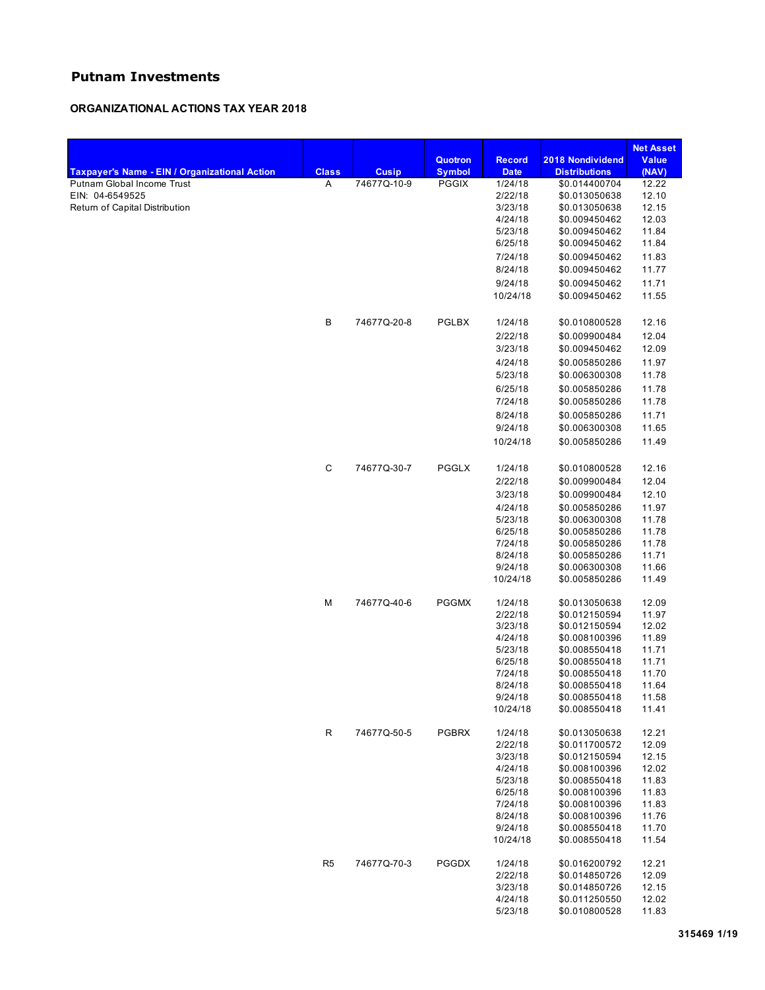# **Putnam Investments**

## **ORGANIZATIONAL ACTIONS TAX YEAR 2018**

|                                                   |                |              |                                 |                              |                                          | <b>Net Asset</b>      |
|---------------------------------------------------|----------------|--------------|---------------------------------|------------------------------|------------------------------------------|-----------------------|
| Taxpayer's Name - EIN / Organizational Action     | <b>Class</b>   | <b>Cusip</b> | <b>Quotron</b><br><b>Symbol</b> | <b>Record</b><br><b>Date</b> | 2018 Nondividend<br><b>Distributions</b> | <b>Value</b><br>(NAV) |
| Putnam Global Income Trust                        | A              | 74677Q-10-9  | <b>PGGIX</b>                    | 1/24/18                      | \$0.014400704                            | 12.22                 |
| EIN: 04-6549525<br>Return of Capital Distribution |                |              |                                 | 2/22/18                      | \$0.013050638                            | 12.10                 |
|                                                   |                |              |                                 | 3/23/18                      | \$0.013050638                            | 12.15                 |
|                                                   |                |              |                                 | 4/24/18                      | \$0.009450462                            | 12.03                 |
|                                                   |                |              |                                 | 5/23/18                      | \$0.009450462                            | 11.84                 |
|                                                   |                |              |                                 | 6/25/18                      | \$0.009450462                            | 11.84                 |
|                                                   |                |              |                                 | 7/24/18                      | \$0.009450462                            | 11.83                 |
|                                                   |                |              |                                 | 8/24/18                      | \$0.009450462                            | 11.77                 |
|                                                   |                |              |                                 | 9/24/18                      | \$0.009450462                            | 11.71                 |
|                                                   |                |              |                                 | 10/24/18                     | \$0.009450462                            | 11.55                 |
|                                                   | В              | 74677Q-20-8  | PGLBX                           | 1/24/18                      | \$0.010800528                            | 12.16                 |
|                                                   |                |              |                                 |                              |                                          |                       |
|                                                   |                |              |                                 | 2/22/18                      | \$0.009900484                            | 12.04                 |
|                                                   |                |              |                                 | 3/23/18                      | \$0.009450462                            | 12.09                 |
|                                                   |                |              |                                 | 4/24/18                      | \$0.005850286                            | 11.97                 |
|                                                   |                |              |                                 | 5/23/18                      | \$0.006300308                            | 11.78                 |
|                                                   |                |              |                                 | 6/25/18                      | \$0.005850286                            | 11.78                 |
|                                                   |                |              |                                 | 7/24/18                      | \$0.005850286                            | 11.78                 |
|                                                   |                |              |                                 | 8/24/18                      | \$0.005850286                            | 11.71                 |
|                                                   |                |              |                                 | 9/24/18                      | \$0.006300308                            | 11.65                 |
|                                                   |                |              |                                 | 10/24/18                     | \$0.005850286                            | 11.49                 |
|                                                   | C              | 74677Q-30-7  | PGGLX                           | 1/24/18                      | \$0.010800528                            | 12.16                 |
|                                                   |                |              |                                 | 2/22/18                      | \$0.009900484                            | 12.04                 |
|                                                   |                |              |                                 | 3/23/18                      | \$0.009900484                            | 12.10                 |
|                                                   |                |              |                                 | 4/24/18                      | \$0.005850286                            | 11.97                 |
|                                                   |                |              |                                 | 5/23/18                      | \$0.006300308                            | 11.78                 |
|                                                   |                |              |                                 | 6/25/18                      | \$0.005850286                            | 11.78                 |
|                                                   |                |              |                                 | 7/24/18                      | \$0.005850286                            | 11.78                 |
|                                                   |                |              |                                 | 8/24/18                      | \$0.005850286                            | 11.71                 |
|                                                   |                |              |                                 | 9/24/18                      | \$0.006300308                            | 11.66                 |
|                                                   |                |              |                                 | 10/24/18                     | \$0.005850286                            | 11.49                 |
|                                                   | М              | 74677Q-40-6  | <b>PGGMX</b>                    | 1/24/18                      | \$0.013050638                            | 12.09                 |
|                                                   |                |              |                                 | 2/22/18                      | \$0.012150594                            | 11.97                 |
|                                                   |                |              |                                 | 3/23/18                      | \$0.012150594                            | 12.02                 |
|                                                   |                |              |                                 | 4/24/18                      | \$0.008100396                            | 11.89                 |
|                                                   |                |              |                                 | 5/23/18                      | \$0.008550418                            | 11.71                 |
|                                                   |                |              |                                 | 6/25/18                      | \$0.008550418                            | 11.71                 |
|                                                   |                |              |                                 | 7/24/18                      | \$0.008550418                            | 11.70                 |
|                                                   |                |              |                                 | 8/24/18                      | \$0.008550418                            | 11.64                 |
|                                                   |                |              |                                 | 9/24/18<br>10/24/18          | \$0.008550418<br>\$0.008550418           | 11.58<br>11.41        |
|                                                   |                |              |                                 |                              |                                          |                       |
|                                                   | R              | 74677Q-50-5  | <b>PGBRX</b>                    | 1/24/18                      | \$0.013050638                            | 12.21                 |
|                                                   |                |              |                                 | 2/22/18                      | \$0.011700572                            | 12.09                 |
|                                                   |                |              |                                 | 3/23/18                      | \$0.012150594<br>\$0.008100396           | 12.15<br>12.02        |
|                                                   |                |              |                                 | 4/24/18                      |                                          |                       |
|                                                   |                |              |                                 | 5/23/18<br>6/25/18           | \$0.008550418<br>\$0.008100396           | 11.83<br>11.83        |
|                                                   |                |              |                                 | 7/24/18                      | \$0.008100396                            | 11.83                 |
|                                                   |                |              |                                 | 8/24/18                      | \$0.008100396                            | 11.76                 |
|                                                   |                |              |                                 | 9/24/18                      | \$0.008550418                            | 11.70                 |
|                                                   |                |              |                                 | 10/24/18                     | \$0.008550418                            | 11.54                 |
|                                                   | R <sub>5</sub> | 74677Q-70-3  | <b>PGGDX</b>                    | 1/24/18                      | \$0.016200792                            | 12.21                 |
|                                                   |                |              |                                 | 2/22/18                      | \$0.014850726                            | 12.09                 |
|                                                   |                |              |                                 | 3/23/18                      | \$0.014850726                            | 12.15                 |
|                                                   |                |              |                                 | 4/24/18                      | \$0.011250550                            | 12.02                 |
|                                                   |                |              |                                 | 5/23/18                      | \$0.010800528                            | 11.83                 |
|                                                   |                |              |                                 |                              |                                          |                       |